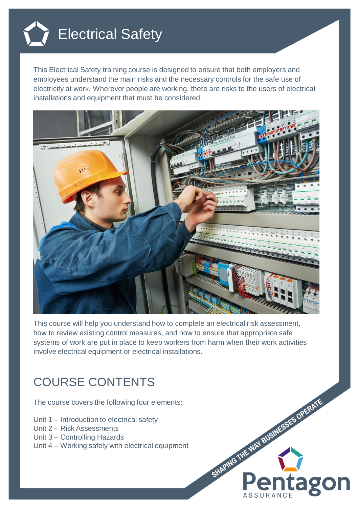

This Electrical Safety training course is designed to ensure that both employers and employees understand the main risks and the necessary controls for the safe use of electricity at work. Wherever people are working, there are risks to the users of electrical installations and equipment that must be considered.



This course will help you understand how to complete an electrical risk assessment, how to review existing control measures, and how to ensure that appropriate safe systems of work are put in place to keep workers from harm when their work activities involve electrical equipment or electrical installations.

## COURSE CONTENTS

The course covers the following four elements:

- Unit 1 Introduction to electrical safety
- Unit 2 Risk Assessments
- Unit 3 Controlling Hazards
- Unit 4 Working safely with electrical equipment